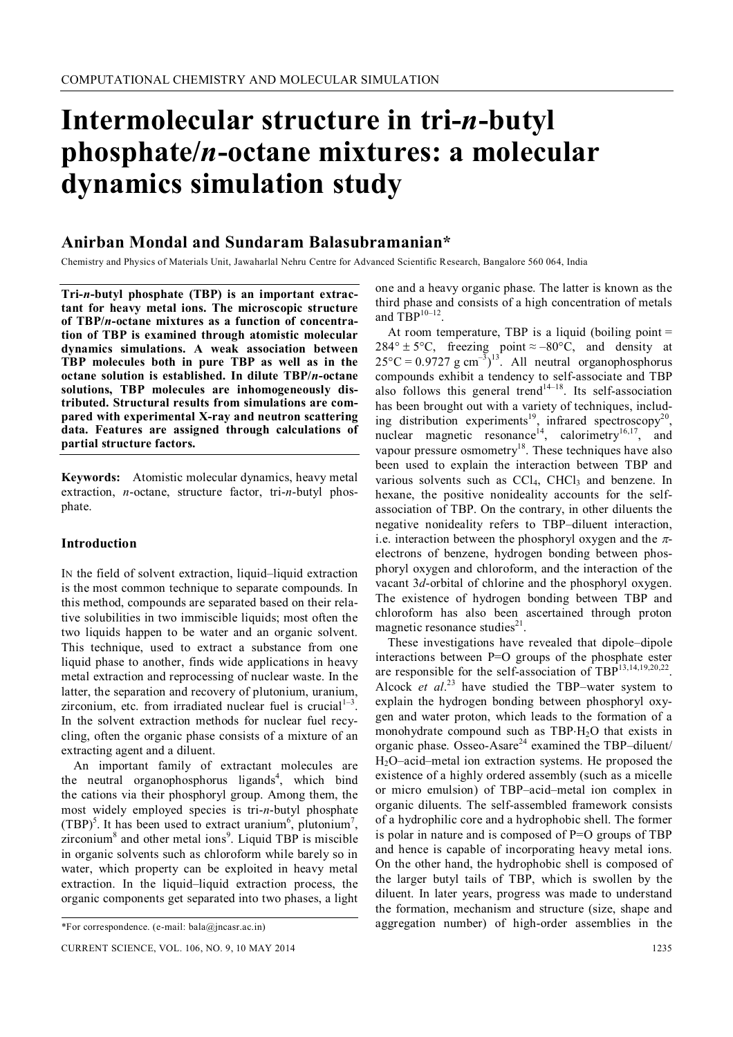# **Intermolecular structure in tri-***n***-butyl phosphate/***n***-octane mixtures: a molecular dynamics simulation study**

# **Anirban Mondal and Sundaram Balasubramanian\***

Chemistry and Physics of Materials Unit, Jawaharlal Nehru Centre for Advanced Scientific Research, Bangalore 560 064, India

**Tri-***n***-butyl phosphate (TBP) is an important extractant for heavy metal ions. The microscopic structure of TBP/***n***-octane mixtures as a function of concentration of TBP is examined through atomistic molecular dynamics simulations. A weak association between TBP molecules both in pure TBP as well as in the octane solution is established. In dilute TBP/***n***-octane solutions, TBP molecules are inhomogeneously distributed. Structural results from simulations are compared with experimental X-ray and neutron scattering data. Features are assigned through calculations of partial structure factors.**

**Keywords:** Atomistic molecular dynamics, heavy metal extraction, *n*-octane, structure factor, tri-*n*-butyl phosphate.

#### **Introduction**

IN the field of solvent extraction, liquid–liquid extraction is the most common technique to separate compounds. In this method, compounds are separated based on their relative solubilities in two immiscible liquids; most often the two liquids happen to be water and an organic solvent. This technique, used to extract a substance from one liquid phase to another, finds wide applications in heavy metal extraction and reprocessing of nuclear waste. In the latter, the separation and recovery of plutonium, uranium, zirconium, etc. from irradiated nuclear fuel is crucial $1<sup>1-3</sup>$ . In the solvent extraction methods for nuclear fuel recycling, often the organic phase consists of a mixture of an extracting agent and a diluent.

An important family of extractant molecules are the neutral organophosphorus ligands<sup>4</sup>, which bind the cations via their phosphoryl group. Among them, the most widely employed species is tri-*n*-butyl phosphate (TBP)<sup>5</sup>. It has been used to extract uranium<sup>6</sup>, plutonium<sup>7</sup>, zirconium $8$  and other metal ions $9$ . Liquid TBP is miscible in organic solvents such as chloroform while barely so in water, which property can be exploited in heavy metal extraction. In the liquid–liquid extraction process, the organic components get separated into two phases, a light

one and a heavy organic phase. The latter is known as the third phase and consists of a high concentration of metals and  $TBP^{10-12}$ .

At room temperature, TBP is a liquid (boiling point  $=$  $284^\circ \pm 5^\circ C$ , freezing point ≈ -80°C, and density at  $25^{\circ}$ C = 0.9727 g cm<sup>-3</sup>)<sup>13</sup>. All neutral organophosphorus compounds exhibit a tendency to self-associate and TBP also follows this general trend<sup>14-18</sup>. Its self-association has been brought out with a variety of techniques, including distribution experiments<sup>19</sup>, infrared spectroscopy<sup>20</sup>, nuclear magnetic resonance<sup>14</sup>, calorimetry<sup>16,17</sup>, and vapour pressure osmometry<sup>18</sup>. These techniques have also been used to explain the interaction between TBP and various solvents such as  $CCl<sub>4</sub>$ ,  $CHCl<sub>3</sub>$  and benzene. In hexane, the positive nonideality accounts for the selfassociation of TBP. On the contrary, in other diluents the negative nonideality refers to TBP–diluent interaction, i.e. interaction between the phosphoryl oxygen and the  $\pi$ electrons of benzene, hydrogen bonding between phosphoryl oxygen and chloroform, and the interaction of the vacant 3*d*-orbital of chlorine and the phosphoryl oxygen. The existence of hydrogen bonding between TBP and chloroform has also been ascertained through proton magnetic resonance studies<sup>21</sup>.

These investigations have revealed that dipole–dipole interactions between P=O groups of the phosphate ester are responsible for the self-association of TBP $^{13,14,19,20,22}$ . Alcock *et al*. <sup>23</sup> have studied the TBP–water system to explain the hydrogen bonding between phosphoryl oxygen and water proton, which leads to the formation of a monohydrate compound such as  $TBP \cdot H_2O$  that exists in organic phase. Osseo-Asare<sup>24</sup> examined the TBP–diluent/ H2O–acid–metal ion extraction systems. He proposed the existence of a highly ordered assembly (such as a micelle or micro emulsion) of TBP–acid–metal ion complex in organic diluents. The self-assembled framework consists of a hydrophilic core and a hydrophobic shell. The former is polar in nature and is composed of P=O groups of TBP and hence is capable of incorporating heavy metal ions. On the other hand, the hydrophobic shell is composed of the larger butyl tails of TBP, which is swollen by the diluent. In later years, progress was made to understand the formation, mechanism and structure (size, shape and aggregation number) of high-order assemblies in the

<sup>\*</sup>For correspondence. (e-mail: bala@jncasr.ac.in)

CURRENT SCIENCE, VOL. 106, NO. 9, 10 MAY 2014 1235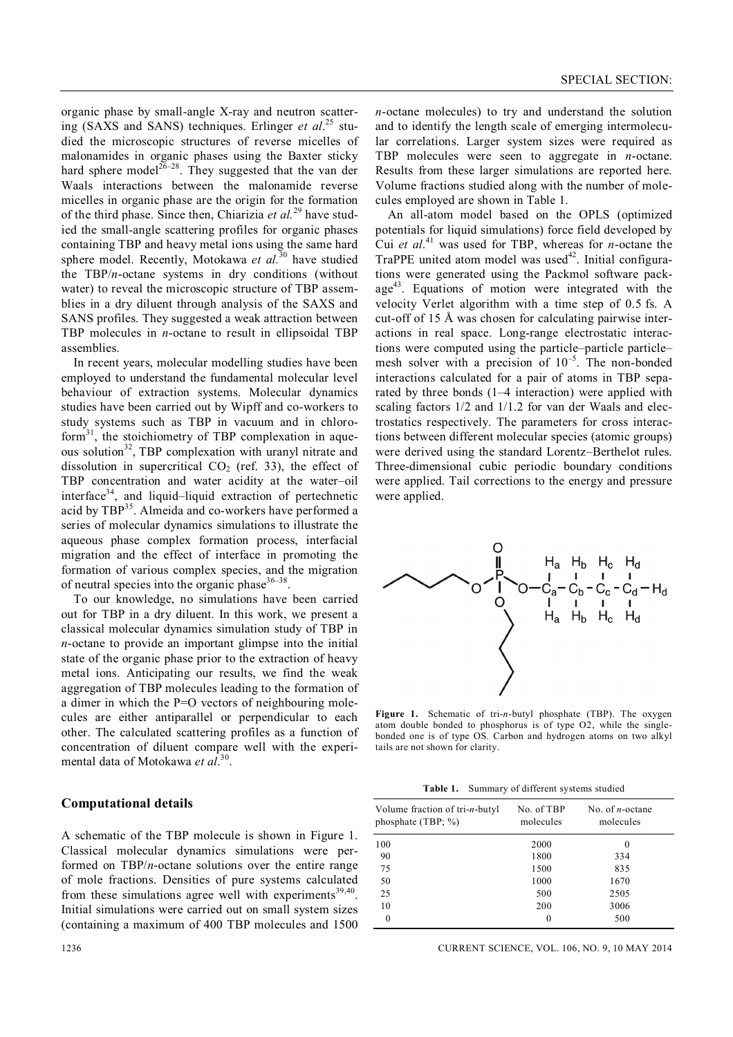organic phase by small-angle X-ray and neutron scattering (SAXS and SANS) techniques. Erlinger *et al*. <sup>25</sup> studied the microscopic structures of reverse micelles of malonamides in organic phases using the Baxter sticky hard sphere model<sup>26–28</sup>. They suggested that the van der Waals interactions between the malonamide reverse micelles in organic phase are the origin for the formation of the third phase. Since then, Chiarizia *et al.*<sup>29</sup> have studied the small-angle scattering profiles for organic phases containing TBP and heavy metal ions using the same hard sphere model. Recently, Motokawa et al.<sup>30</sup> have studied the TBP/*n*-octane systems in dry conditions (without water) to reveal the microscopic structure of TBP assemblies in a dry diluent through analysis of the SAXS and SANS profiles. They suggested a weak attraction between TBP molecules in *n*-octane to result in ellipsoidal TBP assemblies.

In recent years, molecular modelling studies have been employed to understand the fundamental molecular level behaviour of extraction systems. Molecular dynamics studies have been carried out by Wipff and co-workers to study systems such as TBP in vacuum and in chloroform<sup>31</sup>, the stoichiometry of TBP complexation in aqueous solution<sup>32</sup>, TBP complexation with uranyl nitrate and dissolution in supercritical  $CO<sub>2</sub>$  (ref. 33), the effect of TBP concentration and water acidity at the water–oil interface<sup>34</sup>, and liquid–liquid extraction of pertechnetic acid by TBP<sup>35</sup>. Almeida and co-workers have performed a series of molecular dynamics simulations to illustrate the aqueous phase complex formation process, interfacial migration and the effect of interface in promoting the formation of various complex species, and the migration of neutral species into the organic phase  $36-38$ .

To our knowledge, no simulations have been carried out for TBP in a dry diluent. In this work, we present a classical molecular dynamics simulation study of TBP in *n*-octane to provide an important glimpse into the initial state of the organic phase prior to the extraction of heavy metal ions. Anticipating our results, we find the weak aggregation of TBP molecules leading to the formation of a dimer in which the P=O vectors of neighbouring molecules are either antiparallel or perpendicular to each other. The calculated scattering profiles as a function of concentration of diluent compare well with the experimental data of Motokawa *et al*. 30 .

# **Computational details**

A schematic of the TBP molecule is shown in Figure 1. Classical molecular dynamics simulations were performed on TBP/*n*-octane solutions over the entire range of mole fractions. Densities of pure systems calculated from these simulations agree well with experiments<sup>39,40</sup>. Initial simulations were carried out on small system sizes (containing a maximum of 400 TBP molecules and 1500

*n*-octane molecules) to try and understand the solution and to identify the length scale of emerging intermolecular correlations. Larger system sizes were required as TBP molecules were seen to aggregate in *n*-octane. Results from these larger simulations are reported here. Volume fractions studied along with the number of molecules employed are shown in Table 1.

An all-atom model based on the OPLS (optimized potentials for liquid simulations) force field developed by Cui *et al*. <sup>41</sup> was used for TBP, whereas for *n*-octane the TraPPE united atom model was used<sup>42</sup>. Initial configurations were generated using the Packmol software package<sup>43</sup>. Equations of motion were integrated with the velocity Verlet algorithm with a time step of 0.5 fs. A cut-off of 15 Å was chosen for calculating pairwise interactions in real space. Long-range electrostatic interactions were computed using the particle–particle particle– mesh solver with a precision of  $10^{-5}$ . The non-bonded interactions calculated for a pair of atoms in TBP separated by three bonds (1–4 interaction) were applied with scaling factors 1/2 and 1/1.2 for van der Waals and electrostatics respectively. The parameters for cross interactions between different molecular species (atomic groups) were derived using the standard Lorentz–Berthelot rules. Three-dimensional cubic periodic boundary conditions were applied. Tail corrections to the energy and pressure were applied.



**Figure 1.** Schematic of tri-*n*-butyl phosphate (TBP). The oxygen atom double bonded to phosphorus is of type O2, while the singlebonded one is of type OS. Carbon and hydrogen atoms on two alkyl tails are not shown for clarity.

**Table 1.** Summary of different systems studied

| Volume fraction of tri- <i>n</i> -butyl<br>phosphate $(TBP; % )$ | No. of TBP<br>molecules | No. of <i>n</i> -octane<br>molecules |
|------------------------------------------------------------------|-------------------------|--------------------------------------|
| 100                                                              | 2000                    | $\Omega$                             |
| 90                                                               | 1800                    | 334                                  |
| 75                                                               | 1500                    | 835                                  |
| 50                                                               | 1000                    | 1670                                 |
| 25                                                               | 500                     | 2505                                 |
| 10                                                               | 200                     | 3006                                 |
| 0                                                                | 0                       | 500                                  |

#### 1236 CURRENT SCIENCE, VOL. 106, NO. 9, 10 MAY 2014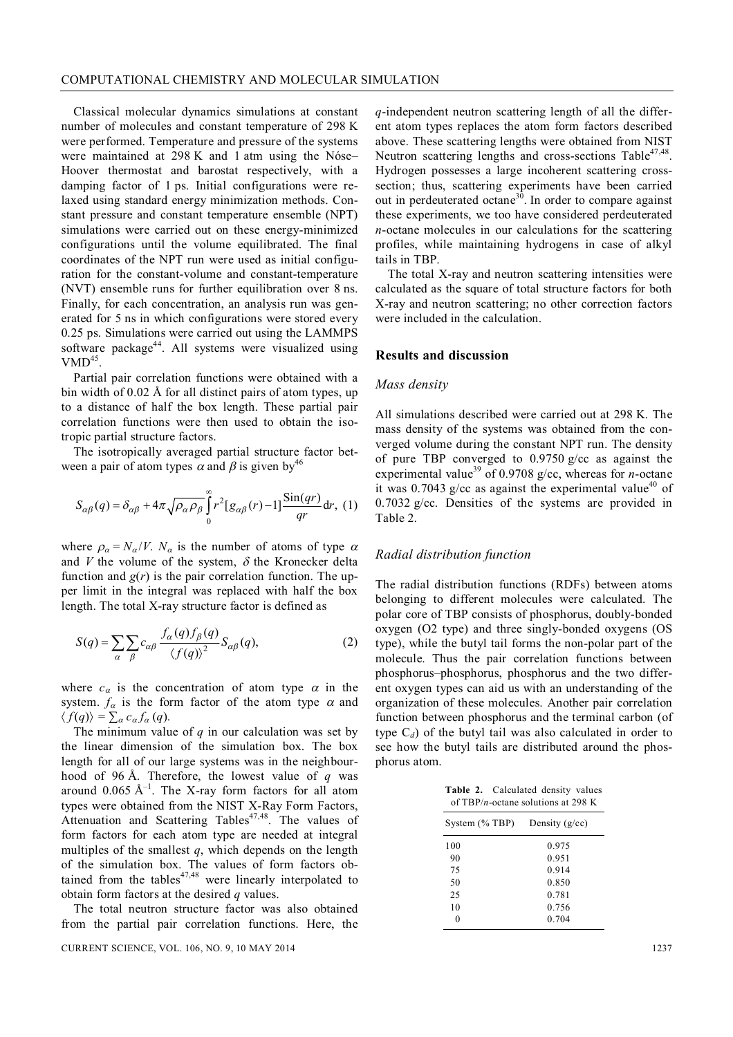Classical molecular dynamics simulations at constant number of molecules and constant temperature of 298 K were performed. Temperature and pressure of the systems were maintained at 298 K and 1 atm using the Nóse– Hoover thermostat and barostat respectively, with a damping factor of 1 ps. Initial configurations were relaxed using standard energy minimization methods. Constant pressure and constant temperature ensemble (NPT) simulations were carried out on these energy-minimized configurations until the volume equilibrated. The final coordinates of the NPT run were used as initial configuration for the constant-volume and constant-temperature (NVT) ensemble runs for further equilibration over 8 ns. Finally, for each concentration, an analysis run was generated for 5 ns in which configurations were stored every 0.25 ps. Simulations were carried out using the LAMMPS software package<sup>44</sup>. All systems were visualized using  $VMD<sup>45</sup>$ .

Partial pair correlation functions were obtained with a bin width of 0.02 Å for all distinct pairs of atom types, up to a distance of half the box length. These partial pair correlation functions were then used to obtain the isotropic partial structure factors.

The isotropically averaged partial structure factor between a pair of atom types  $\alpha$  and  $\beta$  is given by<sup>46</sup>

$$
S_{\alpha\beta}(q) = \delta_{\alpha\beta} + 4\pi \sqrt{\rho_{\alpha}\rho_{\beta}} \int_{0}^{\infty} r^{2} [g_{\alpha\beta}(r) - 1] \frac{\sin(qr)}{qr} dr, (1)
$$

where  $\rho_{\alpha} = N_{\alpha}/V$ .  $N_{\alpha}$  is the number of atoms of type  $\alpha$ and  $V$  the volume of the system,  $\delta$  the Kronecker delta function and  $g(r)$  is the pair correlation function. The upper limit in the integral was replaced with half the box length. The total X-ray structure factor is defined as

$$
S(q) = \sum_{\alpha} \sum_{\beta} c_{\alpha\beta} \frac{f_{\alpha}(q) f_{\beta}(q)}{\langle f(q) \rangle^2} S_{\alpha\beta}(q),
$$
 (2)

where  $c_{\alpha}$  is the concentration of atom type  $\alpha$  in the system.  $f_{\alpha}$  is the form factor of the atom type  $\alpha$  and  $\langle f(q) \rangle = \sum_{\alpha} c_{\alpha} f_{\alpha}(q).$ 

The minimum value of  $q$  in our calculation was set by the linear dimension of the simulation box. The box length for all of our large systems was in the neighbourhood of 96 Å. Therefore, the lowest value of *q* was around  $0.065 \text{ Å}^{-1}$ . The X-ray form factors for all atom types were obtained from the NIST X-Ray Form Factors, Attenuation and Scattering Tables<sup>47,48</sup>. The values of form factors for each atom type are needed at integral multiples of the smallest *q*, which depends on the length of the simulation box. The values of form factors obtained from the tables<sup>47,48</sup> were linearly interpolated to obtain form factors at the desired *q* values.

The total neutron structure factor was also obtained from the partial pair correlation functions. Here, the *q*-independent neutron scattering length of all the different atom types replaces the atom form factors described above. These scattering lengths were obtained from NIST Neutron scattering lengths and cross-sections Table<sup>47,48</sup>. Hydrogen possesses a large incoherent scattering crosssection; thus, scattering experiments have been carried out in perdeuterated octane<sup>30</sup>. In order to compare against these experiments, we too have considered perdeuterated *n*-octane molecules in our calculations for the scattering profiles, while maintaining hydrogens in case of alkyl tails in TBP.

The total X-ray and neutron scattering intensities were calculated as the square of total structure factors for both X-ray and neutron scattering; no other correction factors were included in the calculation.

#### **Results and discussion**

# *Mass density*

All simulations described were carried out at 298 K. The mass density of the systems was obtained from the converged volume during the constant NPT run. The density of pure TBP converged to 0.9750 g/cc as against the experimental value<sup>39</sup> of 0.9708 g/cc, whereas for *n*-octane it was 0.7043 g/cc as against the experimental value<sup>40</sup> of 0.7032 g/cc. Densities of the systems are provided in Table 2.

#### *Radial distribution function*

The radial distribution functions (RDFs) between atoms belonging to different molecules were calculated. The polar core of TBP consists of phosphorus, doubly-bonded oxygen (O2 type) and three singly-bonded oxygens (OS type), while the butyl tail forms the non-polar part of the molecule. Thus the pair correlation functions between phosphorus–phosphorus, phosphorus and the two different oxygen types can aid us with an understanding of the organization of these molecules. Another pair correlation function between phosphorus and the terminal carbon (of type  $C_d$ ) of the butyl tail was also calculated in order to see how the butyl tails are distributed around the phosphorus atom.

**Table 2.** Calculated density values of TBP/*n*-octane solutions at 298 K

| System $(\%$ TBP) | Density $(g/cc)$ |
|-------------------|------------------|
| 100               | 0.975            |
| 90                | 0.951            |
| 75                | 0.914            |
| 50                | 0.850            |
| 25                | 0.781            |
| 10                | 0.756            |
|                   | 0.704            |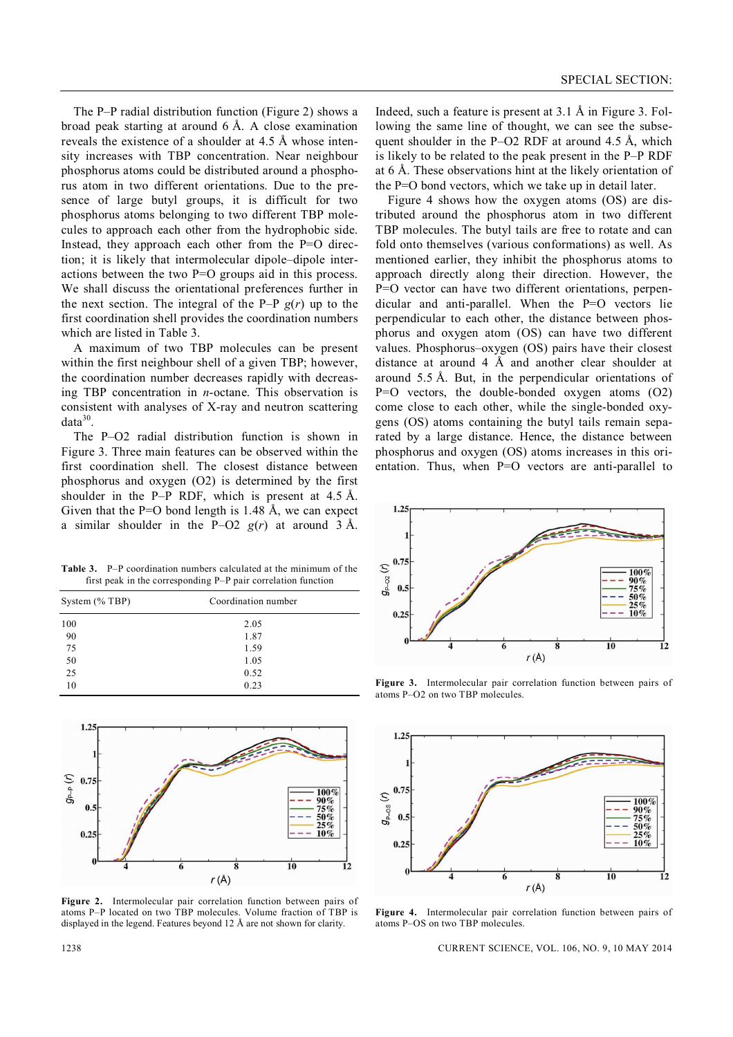The P–P radial distribution function (Figure 2) shows a broad peak starting at around 6 Å. A close examination reveals the existence of a shoulder at 4.5 Å whose intensity increases with TBP concentration. Near neighbour phosphorus atoms could be distributed around a phosphorus atom in two different orientations. Due to the presence of large butyl groups, it is difficult for two phosphorus atoms belonging to two different TBP molecules to approach each other from the hydrophobic side. Instead, they approach each other from the P=O direction; it is likely that intermolecular dipole–dipole interactions between the two P=O groups aid in this process. We shall discuss the orientational preferences further in the next section. The integral of the P–P  $g(r)$  up to the first coordination shell provides the coordination numbers which are listed in Table 3.

A maximum of two TBP molecules can be present within the first neighbour shell of a given TBP; however, the coordination number decreases rapidly with decreasing TBP concentration in *n*-octane. This observation is consistent with analyses of X-ray and neutron scattering  $data^{30}$ .

The P–O2 radial distribution function is shown in Figure 3. Three main features can be observed within the first coordination shell. The closest distance between phosphorus and oxygen (O2) is determined by the first shoulder in the P–P RDF, which is present at 4.5 Å. Given that the  $P=O$  bond length is 1.48 Å, we can expect a similar shoulder in the P–O2  $g(r)$  at around 3 Å.

**Table 3.** P–P coordination numbers calculated at the minimum of the first peak in the corresponding P–P pair correlation function

| System $(\%$ TBP) | Coordination number |  |
|-------------------|---------------------|--|
| 100               | 2.05                |  |
| 90                | 1.87                |  |
| 75                | 1.59                |  |
| 50                | 1.05                |  |
| 25                | 0.52                |  |
| 10                | 0.23                |  |



**Figure 2.** Intermolecular pair correlation function between pairs of atoms P–P located on two TBP molecules. Volume fraction of TBP is displayed in the legend. Features beyond 12 Å are not shown for clarity.

Indeed, such a feature is present at 3.1 Å in Figure 3. Following the same line of thought, we can see the subsequent shoulder in the P–O2 RDF at around  $4.5 \text{ Å}$ , which is likely to be related to the peak present in the P–P RDF at 6 Å. These observations hint at the likely orientation of the P=O bond vectors, which we take up in detail later.

Figure 4 shows how the oxygen atoms (OS) are distributed around the phosphorus atom in two different TBP molecules. The butyl tails are free to rotate and can fold onto themselves (various conformations) as well. As mentioned earlier, they inhibit the phosphorus atoms to approach directly along their direction. However, the P=O vector can have two different orientations, perpendicular and anti-parallel. When the P=O vectors lie perpendicular to each other, the distance between phosphorus and oxygen atom (OS) can have two different values. Phosphorus–oxygen (OS) pairs have their closest distance at around 4  $\AA$  and another clear shoulder at around 5.5 Å. But, in the perpendicular orientations of P=O vectors, the double-bonded oxygen atoms (O2) come close to each other, while the single-bonded oxygens (OS) atoms containing the butyl tails remain separated by a large distance. Hence, the distance between phosphorus and oxygen (OS) atoms increases in this orientation. Thus, when P=O vectors are anti-parallel to



**Figure 3.** Intermolecular pair correlation function between pairs of atoms P–O2 on two TBP molecules.



**Figure 4.** Intermolecular pair correlation function between pairs of atoms P–OS on two TBP molecules.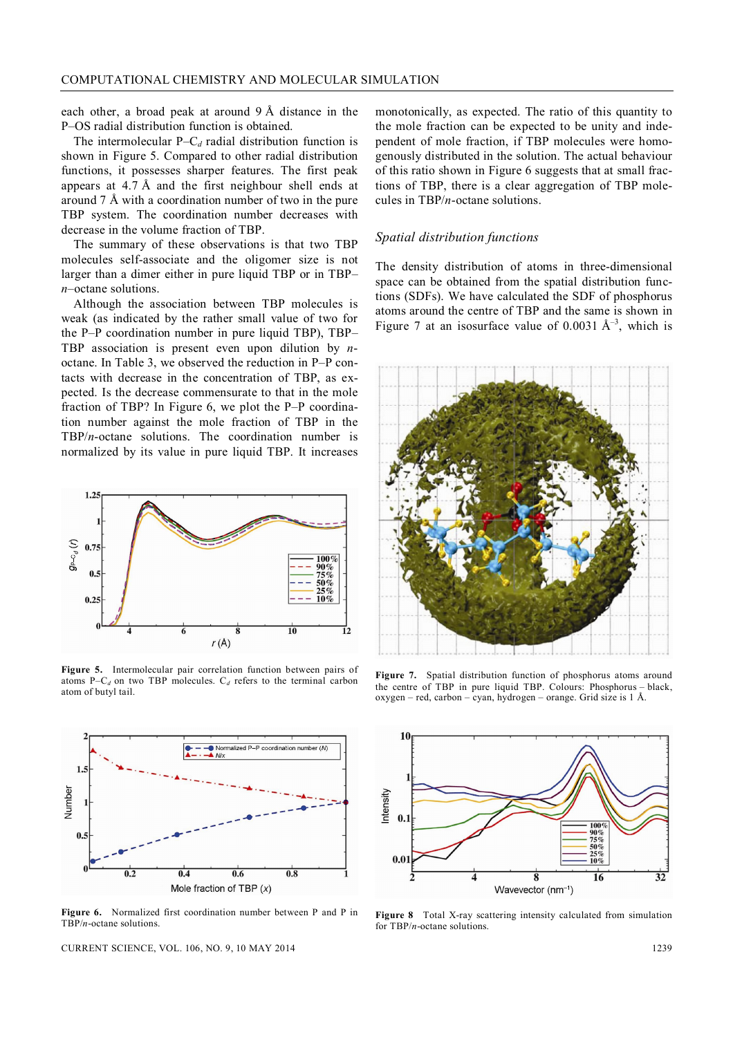each other, a broad peak at around 9 Å distance in the P–OS radial distribution function is obtained.

The intermolecular  $P-C_d$  radial distribution function is shown in Figure 5. Compared to other radial distribution functions, it possesses sharper features. The first peak appears at 4.7 Å and the first neighbour shell ends at around 7 Å with a coordination number of two in the pure TBP system. The coordination number decreases with decrease in the volume fraction of TBP.

The summary of these observations is that two TBP molecules self-associate and the oligomer size is not larger than a dimer either in pure liquid TBP or in TBP– *n*–octane solutions.

Although the association between TBP molecules is weak (as indicated by the rather small value of two for the P–P coordination number in pure liquid TBP), TBP– TBP association is present even upon dilution by *n*octane. In Table 3, we observed the reduction in P–P contacts with decrease in the concentration of TBP, as expected. Is the decrease commensurate to that in the mole fraction of TBP? In Figure 6, we plot the P–P coordination number against the mole fraction of TBP in the TBP/*n*-octane solutions. The coordination number is normalized by its value in pure liquid TBP. It increases



**Figure 5.** Intermolecular pair correlation function between pairs of atoms P– $C_d$  on two TBP molecules.  $C_d$  refers to the terminal carbon atom of butyl tail.



**Figure 6.** Normalized first coordination number between P and P in TBP/*n*-octane solutions.

CURRENT SCIENCE, VOL. 106, NO. 9, 10 MAY 2014 1239

monotonically, as expected. The ratio of this quantity to the mole fraction can be expected to be unity and independent of mole fraction, if TBP molecules were homogenously distributed in the solution. The actual behaviour of this ratio shown in Figure 6 suggests that at small fractions of TBP, there is a clear aggregation of TBP molecules in TBP/*n*-octane solutions.

# *Spatial distribution functions*

The density distribution of atoms in three-dimensional space can be obtained from the spatial distribution functions (SDFs). We have calculated the SDF of phosphorus atoms around the centre of TBP and the same is shown in Figure 7 at an isosurface value of 0.0031  $A^{-3}$ , which is



**Figure 7.** Spatial distribution function of phosphorus atoms around the centre of TBP in pure liquid TBP. Colours: Phosphorus – black, oxygen – red, carbon – cyan, hydrogen – orange. Grid size is 1 Å.



**Figure 8** Total X-ray scattering intensity calculated from simulation for TBP/*n*-octane solutions.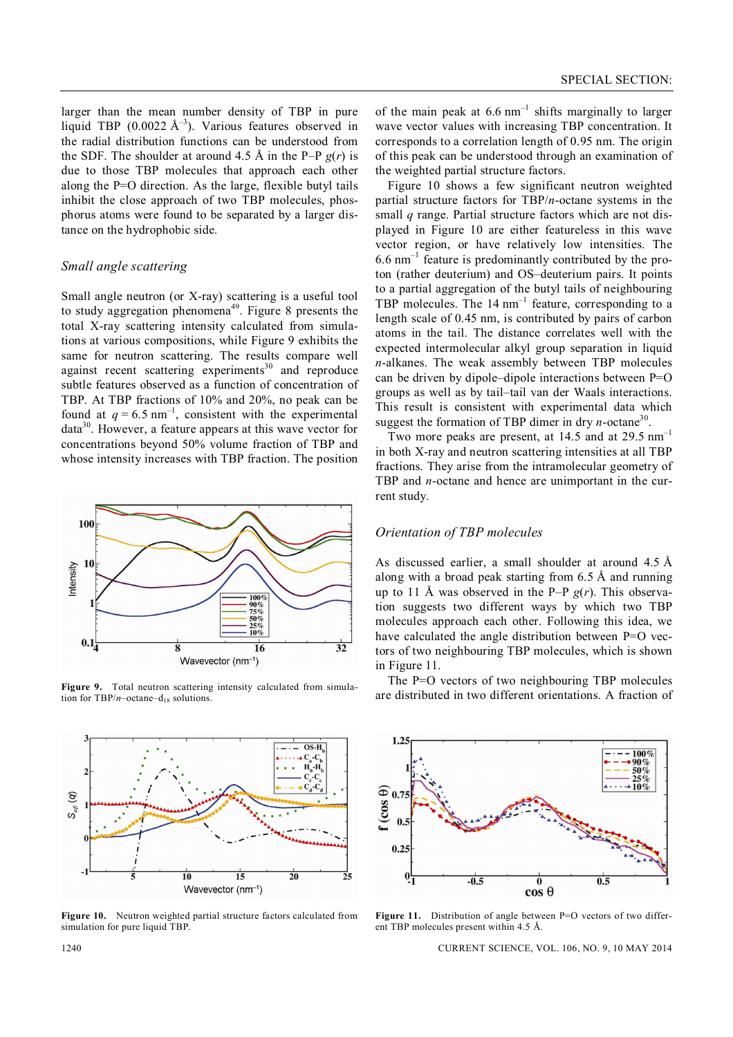larger than the mean number density of TBP in pure liquid TBP  $(0.0022 \text{ Å}^{-3})$ . Various features observed in the radial distribution functions can be understood from the SDF. The shoulder at around 4.5 Å in the P–P  $g(r)$  is due to those TBP molecules that approach each other along the P=O direction. As the large, flexible butyl tails inhibit the close approach of two TBP molecules, phosphorus atoms were found to be separated by a larger distance on the hydrophobic side.

# *Small angle scattering*

Small angle neutron (or X-ray) scattering is a useful tool to study aggregation phenomena<sup>49</sup>. Figure 8 presents the total X-ray scattering intensity calculated from simulations at various compositions, while Figure 9 exhibits the same for neutron scattering. The results compare well against recent scattering experiments<sup>30</sup> and reproduce subtle features observed as a function of concentration of TBP. At TBP fractions of 10% and 20%, no peak can be found at  $q = 6.5$  nm<sup>-1</sup>, consistent with the experimental data<sup>30</sup>. However, a feature appears at this wave vector for concentrations beyond 50% volume fraction of TBP and whose intensity increases with TBP fraction. The position



**Figure 9.** Total neutron scattering intensity calculated from simulation for  $TBP/n$ –octane–d<sub>18</sub> solutions.



**Figure 10.** Neutron weighted partial structure factors calculated from simulation for pure liquid TBP.

of the main peak at  $6.6 \text{ nm}^{-1}$  shifts marginally to larger wave vector values with increasing TBP concentration. It corresponds to a correlation length of 0.95 nm. The origin of this peak can be understood through an examination of the weighted partial structure factors.

Figure 10 shows a few significant neutron weighted partial structure factors for TBP/*n*-octane systems in the small *q* range. Partial structure factors which are not displayed in Figure 10 are either featureless in this wave vector region, or have relatively low intensities. The  $6.6$  nm<sup>-1</sup> feature is predominantly contributed by the proton (rather deuterium) and OS–deuterium pairs. It points to a partial aggregation of the butyl tails of neighbouring TBP molecules. The  $14 \text{ nm}^{-1}$  feature, corresponding to a length scale of 0.45 nm, is contributed by pairs of carbon atoms in the tail. The distance correlates well with the expected intermolecular alkyl group separation in liquid *n*-alkanes. The weak assembly between TBP molecules can be driven by dipole–dipole interactions between P=O groups as well as by tail–tail van der Waals interactions. This result is consistent with experimental data which suggest the formation of TBP dimer in dry  $n$ -octane<sup>30</sup>.

Two more peaks are present, at  $14.5$  and at  $29.5$  nm<sup>-1</sup> in both X-ray and neutron scattering intensities at all TBP fractions. They arise from the intramolecular geometry of TBP and *n*-octane and hence are unimportant in the current study.

#### *Orientation of TBP molecules*

As discussed earlier, a small shoulder at around 4.5 Å along with a broad peak starting from 6.5 Å and running up to 11 Å was observed in the P–P *g*(*r*). This observation suggests two different ways by which two TBP molecules approach each other. Following this idea, we have calculated the angle distribution between P=O vectors of two neighbouring TBP molecules, which is shown in Figure 11.

The P=O vectors of two neighbouring TBP molecules are distributed in two different orientations. A fraction of



Figure 11. Distribution of angle between P=O vectors of two different TBP molecules present within 4.5 Å.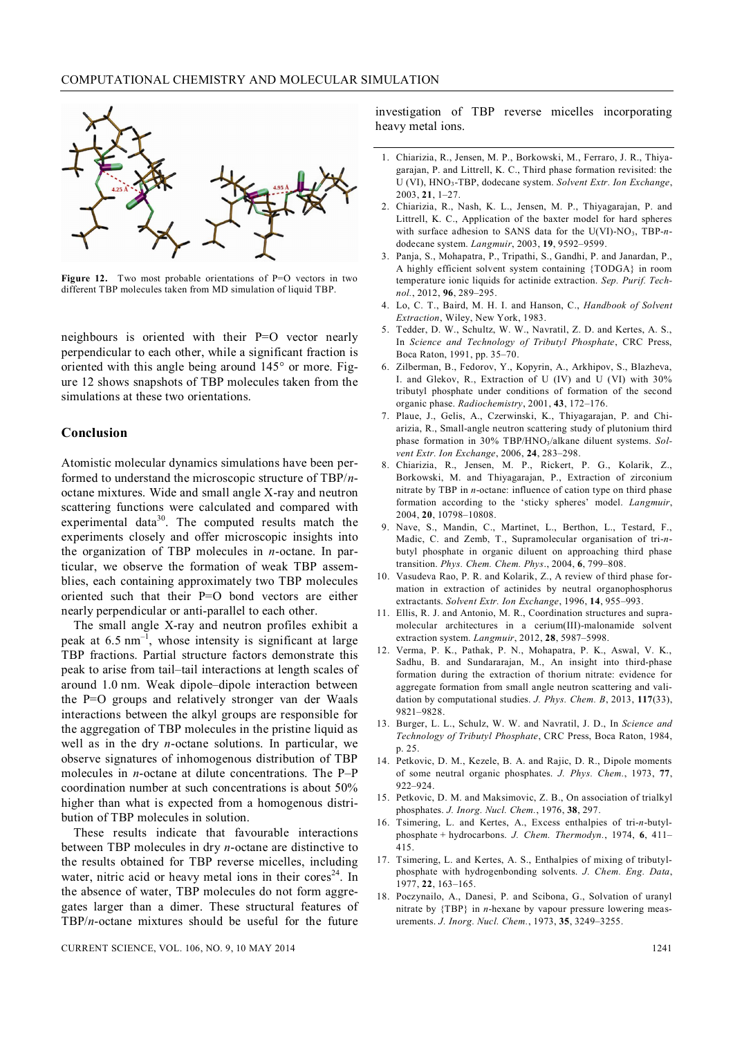

Figure 12. Two most probable orientations of P=O vectors in two different TBP molecules taken from MD simulation of liquid TBP.

neighbours is oriented with their P=O vector nearly perpendicular to each other, while a significant fraction is oriented with this angle being around  $145^{\circ}$  or more. Figure 12 shows snapshots of TBP molecules taken from the simulations at these two orientations.

# **Conclusion**

Atomistic molecular dynamics simulations have been performed to understand the microscopic structure of TBP/*n*octane mixtures. Wide and small angle X-ray and neutron scattering functions were calculated and compared with experimental data $3^0$ . The computed results match the experiments closely and offer microscopic insights into the organization of TBP molecules in *n*-octane. In particular, we observe the formation of weak TBP assemblies, each containing approximately two TBP molecules oriented such that their P=O bond vectors are either nearly perpendicular or anti-parallel to each other.

The small angle X-ray and neutron profiles exhibit a peak at  $6.5 \text{ nm}^{-1}$ , whose intensity is significant at large TBP fractions. Partial structure factors demonstrate this peak to arise from tail–tail interactions at length scales of around 1.0 nm. Weak dipole–dipole interaction between the P=O groups and relatively stronger van der Waals interactions between the alkyl groups are responsible for the aggregation of TBP molecules in the pristine liquid as well as in the dry *n*-octane solutions. In particular, we observe signatures of inhomogenous distribution of TBP molecules in *n*-octane at dilute concentrations. The P–P coordination number at such concentrations is about 50% higher than what is expected from a homogenous distribution of TBP molecules in solution.

These results indicate that favourable interactions between TBP molecules in dry *n*-octane are distinctive to the results obtained for TBP reverse micelles, including water, nitric acid or heavy metal ions in their cores<sup>24</sup>. In the absence of water, TBP molecules do not form aggregates larger than a dimer. These structural features of TBP/*n*-octane mixtures should be useful for the future

investigation of TBP reverse micelles incorporating heavy metal ions.

- 1. Chiarizia, R., Jensen, M. P., Borkowski, M., Ferraro, J. R., Thiyagarajan, P. and Littrell, K. C., Third phase formation revisited: the U (VI), HNO3-TBP, dodecane system. *Solvent Extr. Ion Exchange*, 2003, **21**, 1–27.
- 2. Chiarizia, R., Nash, K. L., Jensen, M. P., Thiyagarajan, P. and Littrell, K. C., Application of the baxter model for hard spheres with surface adhesion to SANS data for the U(VI)-NO<sub>3</sub>, TBP-ndodecane system. *Langmuir*, 2003, **19**, 9592–9599.
- 3. Panja, S., Mohapatra, P., Tripathi, S., Gandhi, P. and Janardan, P., A highly efficient solvent system containing {TODGA} in room temperature ionic liquids for actinide extraction. *Sep. Purif. Technol.*, 2012, **96**, 289–295.
- 4. Lo, C. T., Baird, M. H. I. and Hanson, C., *Handbook of Solvent Extraction*, Wiley, New York, 1983.
- 5. Tedder, D. W., Schultz, W. W., Navratil, Z. D. and Kertes, A. S., In *Science and Technology of Tributyl Phosphate*, CRC Press, Boca Raton, 1991, pp. 35–70.
- 6. Zilberman, B., Fedorov, Y., Kopyrin, A., Arkhipov, S., Blazheva, I. and Glekov, R., Extraction of U (IV) and U (VI) with 30% tributyl phosphate under conditions of formation of the second organic phase. *Radiochemistry*, 2001, **43**, 172–176.
- 7. Plaue, J., Gelis, A., Czerwinski, K., Thiyagarajan, P. and Chiarizia, R., Small-angle neutron scattering study of plutonium third phase formation in 30% TBP/HNO3/alkane diluent systems. *Solvent Extr. Ion Exchange*, 2006, **24**, 283–298.
- 8. Chiarizia, R., Jensen, M. P., Rickert, P. G., Kolarik, Z., Borkowski, M. and Thiyagarajan, P., Extraction of zirconium nitrate by TBP in *n*-octane: influence of cation type on third phase formation according to the 'sticky spheres' model. *Langmuir*, 2004, **20**, 10798–10808.
- 9. Nave, S., Mandin, C., Martinet, L., Berthon, L., Testard, F., Madic, C. and Zemb, T., Supramolecular organisation of tri-*n*butyl phosphate in organic diluent on approaching third phase transition. *Phys. Chem. Chem. Phys*., 2004, **6**, 799–808.
- 10. Vasudeva Rao, P. R. and Kolarik, Z., A review of third phase formation in extraction of actinides by neutral organophosphorus extractants. *Solvent Extr. Ion Exchange*, 1996, **14**, 955–993.
- 11. Ellis, R. J. and Antonio, M. R., Coordination structures and supramolecular architectures in a cerium(III)-malonamide solvent extraction system. *Langmuir*, 2012, **28**, 5987–5998.
- 12. Verma, P. K., Pathak, P. N., Mohapatra, P. K., Aswal, V. K., Sadhu, B. and Sundararajan, M., An insight into third-phase formation during the extraction of thorium nitrate: evidence for aggregate formation from small angle neutron scattering and validation by computational studies. *J. Phys. Chem. B*, 2013, **117**(33), 9821–9828.
- 13. Burger, L. L., Schulz, W. W. and Navratil, J. D., In *Science and Technology of Tributyl Phosphate*, CRC Press, Boca Raton, 1984, p. 25.
- 14. Petkovic, D. M., Kezele, B. A. and Rajic, D. R., Dipole moments of some neutral organic phosphates. *J. Phys. Chem.*, 1973, **77**, 922–924.
- 15. Petkovic, D. M. and Maksimovic, Z. B., On association of trialkyl phosphates. *J. Inorg. Nucl. Chem.*, 1976, **38**, 297.
- 16. Tsimering, L. and Kertes, A., Excess enthalpies of tri-*n*-butylphosphate + hydrocarbons. *J. Chem. Thermodyn.*, 1974, **6**, 411– 415.
- 17. Tsimering, L. and Kertes, A. S., Enthalpies of mixing of tributylphosphate with hydrogenbonding solvents. *J. Chem. Eng. Data*, 1977, **22**, 163–165.
- 18. Poczynailo, A., Danesi, P. and Scibona, G., Solvation of uranyl nitrate by {TBP} in *n*-hexane by vapour pressure lowering measurements. *J. Inorg. Nucl. Chem.*, 1973, **35**, 3249–3255.